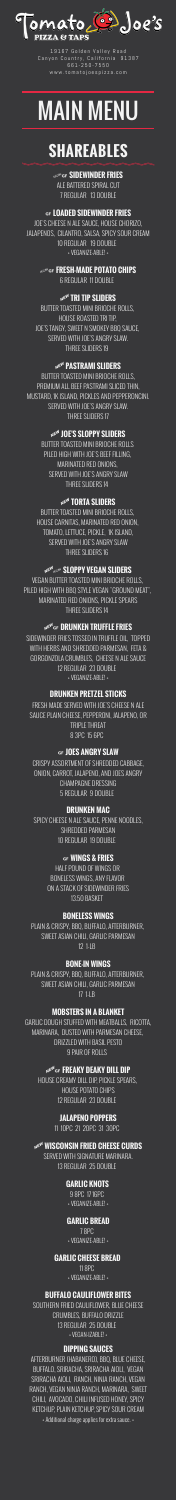

19167 Golden Valley Road Canyon Country, California 91387 661-250-7550 www.tomatojoespizza.com

# MAIN MENU

### **SHAREABLES**

#### »… **SIDEWINDER FRIES**

ALE BATTERED SPIRAL CUT 7 REGULAR 13 DOUBLE

#### … **LOADED SIDEWINDER FRIES**

JOE'S CHEESE N ALE SAUCE, HOUSE CHORIZO, JALAPENOS, CILANTRO, SALSA, SPICY SOUR CREAM 10 REGULAR 19 DOUBLE + VEGANIZE-ABLE! +

> »… **FRESH-MADE POTATO CHIPS** 6 REGULAR 11 DOUBLE

#### A **TRI TIP SLIDERS**

BUTTER TOASTED MINI BRIOCHE ROLLS, HOUSE ROASTED TRI TIP, JOE'S TANGY, SWEET N SMOKEY BBQ SAUCE, SERVED WITH JOE'S ANGRY SLAW. THREE SLIDERS 19

#### A **PASTRAMI SLIDERS**

BUTTER TOASTED MINI BRIOCHE ROLLS, PREMIUM ALL BEEF PASTRAMI SLICED THIN, MUSTARD, 1K ISLAND, PICKLES AND PEPPERONCINI. SERVED WITH JOE'S ANGRY SLAW. THREE SLIDERS 17

#### A **JOE'S SLOPPY SLIDERS**

BUTTER TOASTED MINI BRIOCHE ROLLS PILED HIGH WITH JOE'S BEEF FILLING, MARINATED RED ONIONS, SERVED WITH JOE'S ANGRY SLAW THREE SLIDERS 14

#### A **TORTA SLIDERS**

BUTTER TOASTED MINI BRIOCHE ROLLS, HOUSE CARNITAS, MARINATED RED ONION, TOMATO, LETTUCE, PICKLE, 1K ISLAND, SERVED WITH JOE'S ANGRY SLAW

THREE SLIDERS 16

#### A» **SLOPPY VEGAN SLIDERS**

VEGAN BUTTER TOASTED MINI BRIOCHE ROLLS, PILED HIGH WITH BBQ STYLE VEGAN "GROUND MEAT", MARINATED RED ONIONS, PICKLE SPEARS THREE SLIDERS 14

#### A… **DRUNKEN TRUFFLE FRIES**

SIDEWINDER FRIES TOSSED IN TRUFFLE OIL, TOPPED WITH HERBS AND SHREDDED PARMESAN, FETA & GORGONZOLA CRUMBLES, CHEESE N ALE SAUCE 12 REGULAR 23 DOUBLE + VEGANIZE-ABLE! +

#### **DRUNKEN PRETZEL STICKS**

FRESH MADE SERVED WITH JOE'S CHEESE N ALE SAUCE PLAIN CHEESE, PEPPERONI, JALAPENO, OR TRIPLE THREAT 8 3PC 15 6PC

#### … **JOES ANGRY SLAW**

CRISPY ASSORTMENT OF SHREDDED CABBAGE, ONION, CARROT, JALAPENO, AND JOES ANGRY CHAMPAGNE DRESSING 5 REGULAR 9 DOUBLE

#### **DRUNKEN MAC**

SPICY CHEESE N ALE SAUCE, PENNE NOODLES, SHREDDED PARMESAN 10 REGULAR 19 DOUBLE

#### … **WINGS & FRIES**

HALF POUND OF WINGS OR BONELESS WINGS, ANY FLAVOR ON A STACK OF SIDEWINDER FRIES 13.50 BASKET

#### **BONELESS WINGS**

PLAIN & CRISPY, BBQ, BUFFALO, AFTERBURNER, SWEET ASIAN CHILI, GARLIC PARMESAN 12 1-LB

#### **BONE-IN WINGS**

PLAIN & CRISPY, BBQ, BUFFALO, AFTERBURNER, SWEET ASIAN CHILI, GARLIC PARMESAN 17 1-LB

#### **MOBSTERS IN A BLANKET**

GARLIC DOUGH STUFFED WITH MEATBALLS, RICOTTA, MARINARA, DUSTED WITH PARMESAN CHEESE, DRIZZLED WITH BASIL PESTO 9 PAIR OF ROLLS

#### A… **FREAKY DEAKY DILL DIP**

HOUSE CREAMY DILL DIP, PICKLE SPEARS, HOUSE POTATO CHIPS 12 REGULAR 23 DOUBLE

#### **JALAPENO POPPERS**

11 10PC 21 20PC 31 30PC

#### **AE<sup>W</sup> WISCONSIN FRIED CHEESE CURDS**

SERVED WITH SIGNATURE MARINARA. 13 REGULAR 25 DOUBLE

#### **GARLIC KNOTS**

9 8PC 17 16PC + VEGANIZE-ABLE! +

#### **GARLIC BREAD**

7 8PC + VEGANIZE-ABLE! +

#### **GARLIC CHEESE BREAD**

11 8PC + VEGANIZE-ABLE! +

#### **BUFFALO CAULIFLOWER BITES**

SOUTHERN FRIED CAULIFLOWER, BLUE CHEESE CRUMBLES, BUFFALO DRIZZLE 13 REGULAR 25 DOUBLE + VEGAN-IZABLE! +

#### **DIPPING SAUCES**

AFTERBURNER (HABANERO), BBQ, BLUE CHEESE, BUFFALO, SRIRACHA, SRIRACHA AIOLI, VEGAN SRIRACHA AIOLI, RANCH, NINJA RANCH, VEGAN RANCH, VEGAN NINJA RANCH, MARINARA, SWEET CHILI, AVOCADO, CHILI INFUSED HONEY, SPICY KETCHUP, PLAIN KETCHUP, SPICY SOUR CREAM + Additional charge applies for extra sauce. +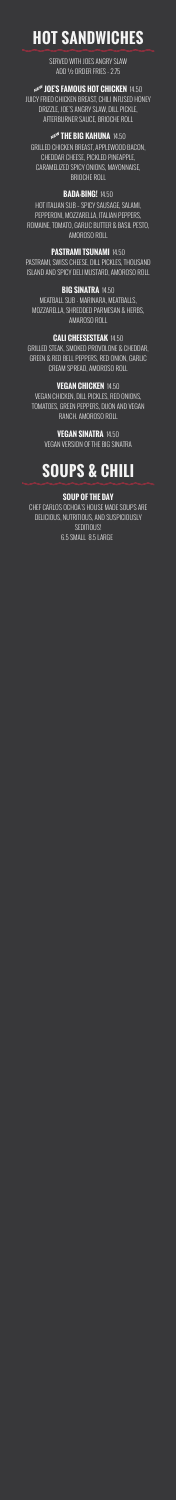## **HOT SANDWICHES**

SERVED WITH JOES ANGRY SLAW ADD ½ ORDER FRIES - 2.75

#### **NEW JOE'S FAMOUS HOT CHICKEN 14.50**

JUICY FRIED CHICKEN BREAST, CHILI INFUSED HONEY DRIZZLE, JOE'S ANGRY SLAW, DILL PICKLE, AFTERBURNER SAUCE, BRIOCHE ROLL

#### NEW THE BIG KAHUNA 14.50

GRILLED CHICKEN BREAST, APPLEWOOD BACON, CHEDDAR CHEESE, PICKLED PINEAPPLE, CARAMELIZED SPICY ONIONS, MAYONNAISE, BRIOCHE ROLL

#### **BADA-BING!** 14.50

HOT ITALIAN SUB – SPICY SAUSAGE, SALAMI, PEPPERONI, MOZZARELLA, ITALIAN PEPPERS, ROMAINE, TOMATO, GARLIC BUTTER & BASIL PESTO, AMOROSO ROLL

#### **PASTRAMI TSUNAMI** 14.50

PASTRAMI, SWISS CHEESE, DILL PICKLES, THOUSAND ISLAND AND SPICY DELI MUSTARD, AMOROSO ROLL

#### **BIG SINATRA** 14.50

MEATBALL SUB - MARINARA, MEATBALLS, MOZZARELLA, SHREDDED PARMESAN & HERBS, AMAROSO ROLL

#### **CALI CHEESESTEAK** 14.50

GRILLED STEAK, SMOKED PROVOLONE & CHEDDAR, GREEN & RED BELL PEPPERS, RED ONION, GARLIC CREAM SPREAD, AMOROSO ROLL

#### **VEGAN CHICKEN** 14.50

VEGAN CHICKEN, DILL PICKLES, RED ONIONS, TOMATOES, GREEN PEPPERS, DIJON AND VEGAN RANCH. AMOROSO ROLL

> **VEGAN SINATRA** 14.50 VEGAN VERSION OF THE BIG SINATRA

## **SOUPS & CHILI**

#### **SOUP OF THE DAY**

CHEF CARLOS OCHOA'S HOUSE MADE SOUPS ARE DELICIOUS, NUTRITIOUS, AND SUSPICIOUSLY SEDITIOUS! 6.5 SMALL 8.5 LARGE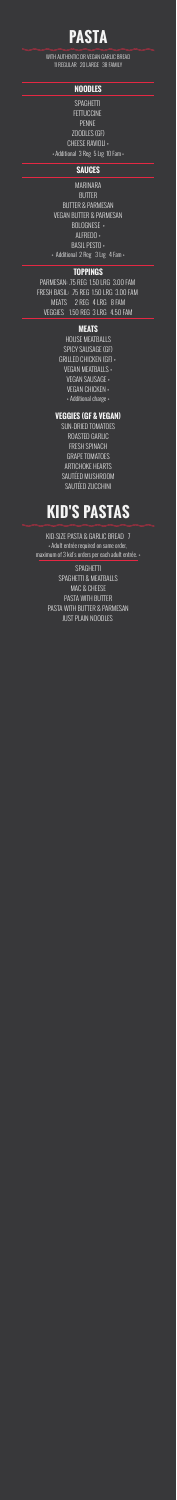### **PASTA**

WITH AUTHENTIC OR VEGAN GARLIC BREAD 11 REGULAR 20 LARGE 38 FAMILY

#### **NOODLES**

SPAGHETTI **FETTUCCINE** PENNE ZOODLES (GF) CHEESE RAVIOLI + + Additional 3 Reg 5 Lrg 10 Fam +

#### **SAUCES**

MARINARA BUTTER BUTTER & PARMESAN VEGAN BUTTER & PARMESAN BOLOGNESE + ALFREDO + BASIL PESTO + + Additional 2 Reg 3 Lrg 4 Fam +

#### **TOPPINGS**

PARMESAN: .75 REG 1.50 LRG 3.00 FAM FRESH BASIL: .75 REG 1.50 LRG 3.00 FAM MEATS 2 REG 4 LRG 8 FAM VEGGIES 1.50 REG 3 LRG 4.50 FAM

#### **MEATS**

HOUSE MEATBALLS SPICY SAUSAGE (GF) GRILLED CHICKEN (GF) + VEGAN MEATBALLS + VEGAN SAUSAGE + VEGAN CHICKEN + + Additional charge +

#### **VEGGIES (GF & VEGAN)**

SUN-DRIED TOMATOES ROASTED GARLIC FRESH SPINACH GRAPE TOMATOES ARTICHOKE HEARTS SAUTÉED MUSHROOM SAUTÉED ZUCCHINI

### **KID'S PASTAS**

KID-SIZE PASTA & GARLIC BREAD 7 + Adult entrée required on same order,

maximum of 3 kid's orders per each adult entrée. +

SPAGHETTI SPAGHETTI & MEATBALLS MAC & CHEESE PASTA WITH BUTTER PASTA WITH BUTTER & PARMESAN JUST PLAIN NOODLES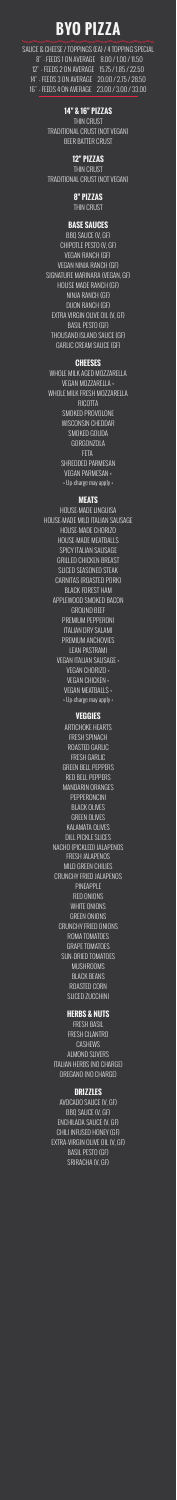### **BYO PIZZA**

SAUCE & CHEESE / TOPPINGS (EA) / 4 TOPPING SPECIAL 8" - FEEDS 1 ON AVERAGE 8.00 / 1.00 / 11.50 12" - FEEDS 2 ON AVERAGE 15.75 / 1.85 / 22.50 14" - FEEDS 3 ON AVERAGE 20.00 / 2.75 / 28.50 16" - FEEDS 4 ON AVERAGE 23.00 / 3.00 / 33.00

#### **14" & 16" PIZZAS**

THIN CRUST TRADITIONAL CRUST (NOT VEGAN) BEER BATTER CRUST

#### **12" PIZZAS**

THIN CRUST TRADITIONAL CRUST (NOT VEGAN)

#### **8" PIZZAS**

THIN CRUST

#### **BASE SAUCES**

BBQ SAUCE (V, GF) CHIPOTLE PESTO (V, GF) VEGAN RANCH (GF) VEGAN NINJA RANCH (GF) SIGNATURE MARINARA (VEGAN, GF) HOUSE MADE RANCH (GF) NINJA RANCH (GF) DIJON RANCH (GF) EXTRA VIRGIN OLIVE OIL (V, GF) BASIL PESTO (GF) THOUSAND ISLAND SAUCE (GF) GARLIC CREAM SAUCE (GF)

#### **CHEESES**

WHOLE MILK AGED MOZZARELLA VEGAN MOZZARELLA + WHOLE MILK FRESH MOZZARELLA RICOTTA SMOKED PROVOLONE WISCONSIN CHEDDAR SMOKED GOUDA GORGONZOLA FETA SHREDDED PARMESAN VEGAN PARMESAN + + Up-charge may apply +

#### **MEATS**

HOUSE-MADE LINGUISA HOUSE-MADE MILD ITALIAN SAUSAGE HOUSE-MADE CHORIZO HOUSE-MADE MEATBALLS SPICY ITALIAN SAUSAGE GRILLED CHICKEN BREAST SLICED SEASONED STEAK CARNITAS (ROASTED PORK) BLACK FOREST HAM APPLEWOOD SMOKED BACON GROUND BEEF PREMIUM PEPPERONI ITALIAN DRY SALAMI PREMIUM ANCHOVIES LEAN PASTRAMI VEGAN ITALIAN SAUSAGE + VEGAN CHORIZO + VEGAN CHICKEN + VEGAN MEATBALLS + + Up-charge may apply +

#### **VEGGIES**

ARTICHOKE HEARTS FRESH SPINACH ROASTED GARLIC FRESH GARLIC GREEN BELL PEPPERS RED BELL PEPPERS MANDARIN ORANGES PEPPERONCINI BLACK OLIVES GREEN OLIVES KALAMATA OLIVES DILL PICKLE SLICES NACHO (PICKLED) JALAPENOS FRESH JALAPENOS MILD GREEN CHILIES CRUNCHY FRIED JALAPENOS PINEAPPLE RED ONIONS WHITE ONIONS GREEN ONIONS CRUNCHY FRIED ONIONS ROMA TOMATOES GRAPE TOMATOES SUN-DRIED TOMATOES MUSHROOMS BLACK BEANS ROASTED CORN SLICED ZUCCHINI

#### **HERBS & NUTS**

FRESH BASIL FRESH CILANTRO **CASHEWS** ALMOND SLIVERS ITALIAN HERBS (NO CHARGE) OREGANO (NO CHARGE)

#### **DRIZZLES**

AVOCADO SAUCE (V, GF) BBQ SAUCE (V, GF) ENCHILADA SAUCE (V, GF) CHILI INFUSED HONEY (GF) EXTRA-VIRGIN OLIVE OIL (V, GF) BASIL PESTO (GF) SRIRACHA (V, GF)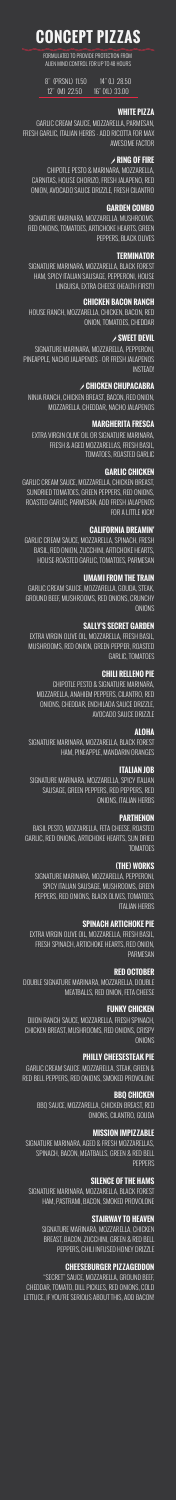## **CONCEPT PIZZAS**

FORMULATED TO PROVIDE PROTECTION FROM ALIEN MIND CONTROL FOR UP TO 48 HOURS

8" (PRSNL) 11.50 14" (L) 28.50 12" (M) 22.50 16" (XL) 33.00

#### **WHITE PIZZA**

GARLIC CREAM SAUCE, MOZZARELLA, PARMESAN, FRESH GARLIC, ITALIAN HERBS - ADD RICOTTA FOR MAX AWESOME FACTOR

#### ' **RING OF FIRE**

CHIPOTLE PESTO & MARINARA, MOZZARELLA, CARNITAS, HOUSE CHORIZO, FRESH JALAPENO, RED ONION, AVOCADO SAUCE DRIZZLE, FRESH CILANTRO

#### **GARDEN COMBO**

SIGNATURE MARINARA, MOZZARELLA, MUSHROOMS, RED ONIONS, TOMATOES, ARTICHOKE HEARTS, GREEN PEPPERS, BLACK OLIVES

#### **TERMINATOR**

SIGNATURE MARINARA, MOZZARELLA, BLACK FOREST HAM, SPICY ITALIAN SAUSAGE, PEPPERONI, HOUSE LINGUISA, EXTRA CHEESE (HEALTH FIRST!)

#### **CHICKEN BACON RANCH**

GARLIC CREAM SAUCE, MOZZARELLA, GOUDA, STEAK, GROUND BEEF, MUSHROOMS, RED ONIONS, CRUNCHY **ONIONS** 

HOUSE RANCH, MOZZARELLA, CHICKEN, BACON, RED ONION, TOMATOES, CHEDDAR

#### ' **SWEET DEVIL**

SIGNATURE MARINARA, MOZZARELLA, PEPPERONI, PINEAPPLE, NACHO JALAPENOS - OR FRESH JALAPENOS INSTEAD!

#### ' **CHICKEN CHUPACABRA**

NINJA RANCH, CHICKEN BREAST, BACON, RED ONION, MOZZARELLA. CHEDDAR, NACHO JALAPENOS

#### **MARGHERITA FRESCA**

BASIL PESTO, MOZZARELLA, FETA CHEESE, ROASTED GARLIC, RED ONIONS, ARTICHOKE HEARTS, SUN DRIED **TOMATOES** 

EXTRA VIRGIN OLIVE OIL OR SIGNATURE MARINARA, FRESH & AGED MOZZARELLAS, FRESH BASIL, TOMATOES, ROASTED GARLIC

#### **GARLIC CHICKEN**

GARLIC CREAM SAUCE, MOZZARELLA, CHICKEN BREAST, SUNDRIED TOMATOES, GREEN PEPPERS, RED ONIONS, ROASTED GARLIC, PARMESAN, ADD FRESH JALAPENOS FOR A LITTLE KICK!

DIJON RANCH SAUCE, MOZZARELLA, FRESH SPINACH, CHICKEN BREAST, MUSHROOMS, RED ONIONS, CRISPY **ONIONS** 

#### **CALIFORNIA DREAMIN'**

GARLIC CREAM SAUCE, MOZZARELLA, SPINACH, FRESH BASIL, RED ONION, ZUCCHINI, ARTICHOKE HEARTS, HOUSE-ROASTED GARLIC, TOMATOES, PARMESAN

SIGNATURE MARINARA, AGED & FRESH MOZZARELLAS, SPINACH, BACON, MEATBALLS, GREEN & RED BELL **PFPPFRS** 

#### **UMAMI FROM THE TRAIN**

#### **SALLY'S SECRET GARDEN**

EXTRA VIRGIN OLIVE OIL, MOZZARELLA, FRESH BASIL, MUSHROOMS, RED ONION, GREEN PEPPER, ROASTED GARLIC, TOMATOES

#### **CHILI RELLENO PIE**

CHIPOTLE PESTO & SIGNATURE MARINARA, MOZZARELLA, ANAHIEM PEPPERS, CILANTRO, RED ONIONS, CHEDDAR, ENCHILADA SAUCE DRIZZLE, AVOCADO SAUCE DRIZZLE

### **ALOHA**

SIGNATURE MARINARA, MOZZARELLA, BLACK FOREST HAM, PINEAPPLE, MANDARIN ORANGES

#### **ITALIAN JOB**

SIGNATURE MARINARA, MOZZARELLA, SPICY ITALIAN SAUSAGE, GREEN PEPPERS, RED PEPPERS, RED ONIONS, ITALIAN HERBS

#### **PARTHENON**

#### **(THE) WORKS**

SIGNATURE MARINARA, MOZZARELLA, PEPPERONI, SPICY ITALIAN SAUSAGE, MUSHROOMS, GREEN PEPPERS, RED ONIONS, BLACK OLIVES, TOMATOES, ITALIAN HERBS

#### **SPINACH ARTICHOKE PIE**

EXTRA VIRGIN OLIVE OIL, MOZZARELLA, FRESH BASIL, FRESH SPINACH, ARTICHOKE HEARTS, RED ONION, PARMESAN

#### **RED OCTOBER**

DOUBLE SIGNATURE MARINARA, MOZZARELLA, DOUBLE MEATBALLS, RED ONION, FETA CHEESE

#### **FUNKY CHICKEN**

#### **PHILLY CHEESESTEAK PIE**

GARLIC CREAM SAUCE, MOZZARELLA, STEAK, GREEN & RED BELL PEPPERS, RED ONIONS, SMOKED PROVOLONE

#### **BBQ CHICKEN**

BBQ SAUCE, MOZZARELLA, CHICKEN BREAST, RED ONIONS, CILANTRO, GOUDA

#### **MISSION IMPIZZABLE**

#### **SILENCE OF THE HAMS**

SIGNATURE MARINARA, MOZZARELLA, BLACK FOREST HAM, PASTRAMI, BACON, SMOKED PROVOLONE

#### **STAIRWAY TO HEAVEN**

SIGNATURE MARINARA, MOZZARELLA, CHICKEN BREAST, BACON, ZUCCHINI, GREEN & RED BELL PEPPERS, CHILI INFUSED HONEY DRIZZLE

#### **CHEESEBURGER PIZZAGEDDON**

"SECRET" SAUCE, MOZZARELLA, GROUND BEEF, CHEDDAR, TOMATO, DILL PICKLES, RED ONIONS, COLD LETTUCE, IF YOU'RE SERIOUS ABOUT THIS, ADD BACON!